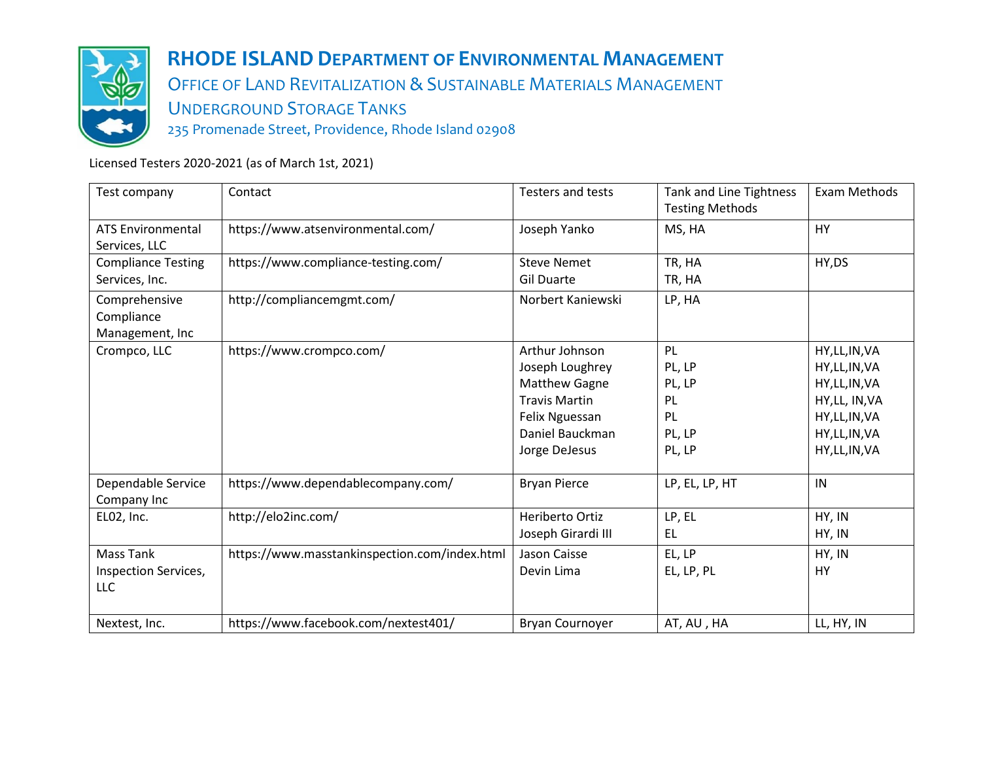

# **RHODE ISLAND DEPARTMENT OF ENVIRONMENTAL MANAGEMENT**

OFFICE OF LAND REVITALIZATION & SUSTAINABLE MATERIALS MANAGEMENT UNDERGROUND STORAGE TANKS

235 Promenade Street, Providence, Rhode Island 02908

Licensed Testers 2020-2021 (as of March 1st, 2021)

| Test company                                    | Contact                                       | Testers and tests                                                                                                                       | Tank and Line Tightness<br><b>Testing Methods</b>      | Exam Methods                                                                                                               |
|-------------------------------------------------|-----------------------------------------------|-----------------------------------------------------------------------------------------------------------------------------------------|--------------------------------------------------------|----------------------------------------------------------------------------------------------------------------------------|
| <b>ATS Environmental</b><br>Services, LLC       | https://www.atsenvironmental.com/             | Joseph Yanko                                                                                                                            | MS, HA                                                 | HY                                                                                                                         |
| <b>Compliance Testing</b><br>Services, Inc.     | https://www.compliance-testing.com/           | <b>Steve Nemet</b><br><b>Gil Duarte</b>                                                                                                 | TR, HA<br>TR, HA                                       | HY, DS                                                                                                                     |
| Comprehensive<br>Compliance<br>Management, Inc  | http://compliancemgmt.com/                    | Norbert Kaniewski                                                                                                                       | LP, HA                                                 |                                                                                                                            |
| Crompco, LLC                                    | https://www.crompco.com/                      | Arthur Johnson<br>Joseph Loughrey<br><b>Matthew Gagne</b><br><b>Travis Martin</b><br>Felix Nguessan<br>Daniel Bauckman<br>Jorge DeJesus | PL<br>PL, LP<br>PL, LP<br>PL<br>PL<br>PL, LP<br>PL, LP | HY, LL, IN, VA<br>HY, LL, IN, VA<br>HY, LL, IN, VA<br>HY, LL, IN, VA<br>HY, LL, IN, VA<br>HY, LL, IN, VA<br>HY, LL, IN, VA |
| Dependable Service<br>Company Inc               | https://www.dependablecompany.com/            | <b>Bryan Pierce</b>                                                                                                                     | LP, EL, LP, HT                                         | IN                                                                                                                         |
| EL02, Inc.                                      | http://elo2inc.com/                           | Heriberto Ortiz<br>Joseph Girardi III                                                                                                   | LP, EL<br><b>EL</b>                                    | HY, IN<br>HY, IN                                                                                                           |
| <b>Mass Tank</b><br>Inspection Services,<br>LLC | https://www.masstankinspection.com/index.html | Jason Caisse<br>Devin Lima                                                                                                              | EL, LP<br>EL, LP, PL                                   | HY, IN<br>HY                                                                                                               |
| Nextest, Inc.                                   | https://www.facebook.com/nextest401/          | Bryan Cournoyer                                                                                                                         | AT, AU, HA                                             | LL, HY, IN                                                                                                                 |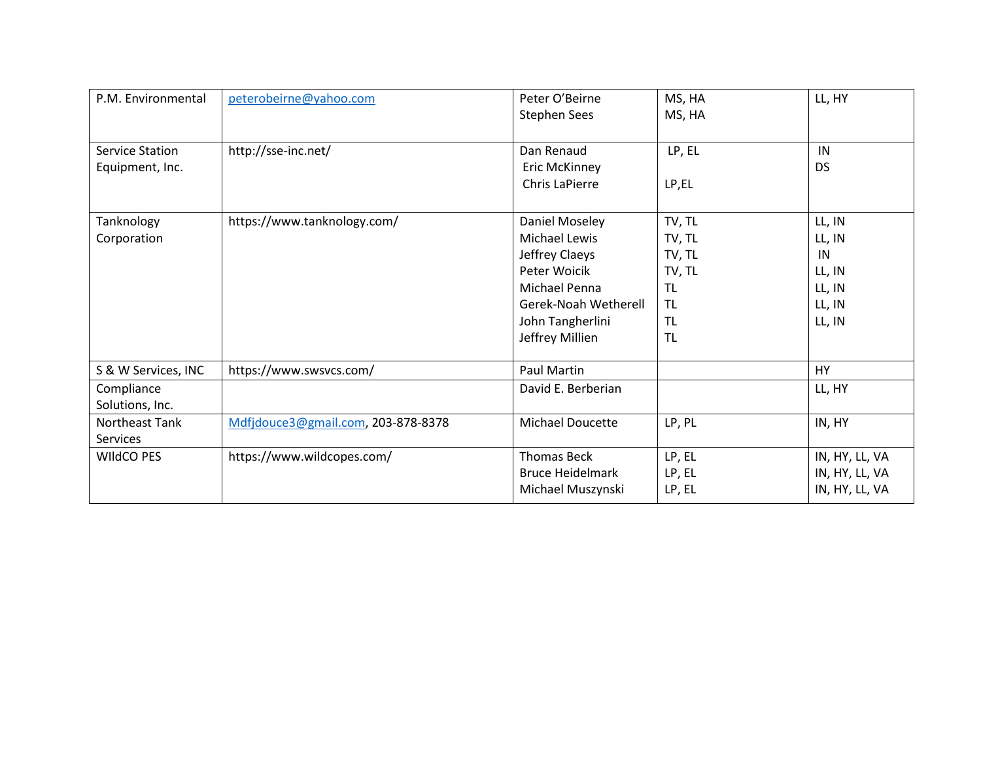| P.M. Environmental     | peterobeirne@yahoo.com             | Peter O'Beirne          | MS, HA    | LL, HY         |
|------------------------|------------------------------------|-------------------------|-----------|----------------|
|                        |                                    | <b>Stephen Sees</b>     | MS, HA    |                |
|                        |                                    |                         |           |                |
| <b>Service Station</b> | http://sse-inc.net/                | Dan Renaud              | LP, EL    | IN             |
| Equipment, Inc.        |                                    | <b>Eric McKinney</b>    |           | <b>DS</b>      |
|                        |                                    | Chris LaPierre          | LP,EL     |                |
|                        |                                    |                         |           |                |
| Tanknology             | https://www.tanknology.com/        | Daniel Moseley          | TV, TL    | LL, IN         |
| Corporation            |                                    | <b>Michael Lewis</b>    | TV, TL    | LL, IN         |
|                        |                                    | Jeffrey Claeys          | TV, TL    | IN             |
|                        |                                    | Peter Woicik            | TV, TL    | LL, IN         |
|                        |                                    | <b>Michael Penna</b>    | <b>TL</b> | LL, IN         |
|                        |                                    | Gerek-Noah Wetherell    | <b>TL</b> | LL, IN         |
|                        |                                    | John Tangherlini        | <b>TL</b> | LL, IN         |
|                        |                                    | Jeffrey Millien         | <b>TL</b> |                |
|                        |                                    |                         |           |                |
| S & W Services, INC    | https://www.swsvcs.com/            | Paul Martin             |           | <b>HY</b>      |
| Compliance             |                                    | David E. Berberian      |           | LL, HY         |
| Solutions, Inc.        |                                    |                         |           |                |
| Northeast Tank         | Mdfjdouce3@gmail.com, 203-878-8378 | <b>Michael Doucette</b> | LP, PL    | IN, HY         |
| Services               |                                    |                         |           |                |
| <b>WIIdCO PES</b>      | https://www.wildcopes.com/         | <b>Thomas Beck</b>      | LP, EL    | IN, HY, LL, VA |
|                        |                                    | <b>Bruce Heidelmark</b> | LP, EL    | IN, HY, LL, VA |
|                        |                                    | Michael Muszynski       | LP, EL    | IN, HY, LL, VA |